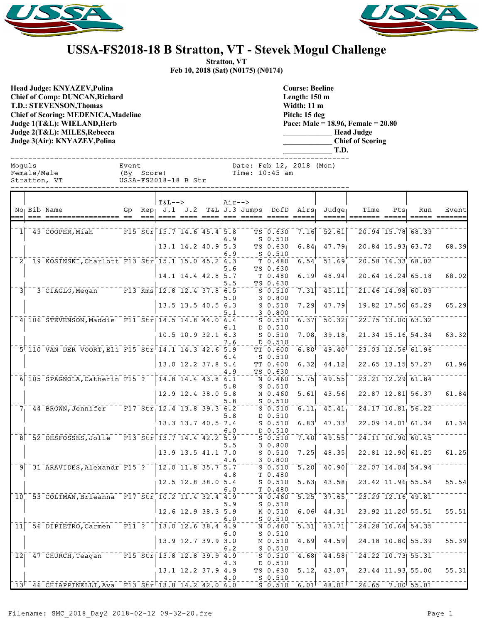



## **USSA-FS2018-18 B Stratton, VT - Stevek Mogul Challenge**

**Stratton, VT Feb 10, 2018 (Sat) (N0175) (N0174)**

**Head Judge: KNYAZEV,Polina Chief of Comp: DUNCAN,Richard T.D.: STEVENSON,Thomas Chief of Scoring: MEDENICA,Madeline Judge 1(T&L): WIELAND,Herb Judge 2(T&L): MILES,Rebecca Judge 3(Air): KNYAZEV,Polina** 

**Course: Beeline Length: 150 m Width: 11 m Pitch: 15 deg Pace: Male = 18.96, Female = 20.80 \_\_\_\_\_\_\_\_\_\_\_\_\_ Head Judge \_\_\_\_\_\_\_\_\_\_\_\_\_ Chief of Scoring \_\_\_\_\_\_\_\_\_\_\_\_\_ T.D.**

| Moquls                     | Female/Male<br>Stratton, VT                             | Event<br>Date: Feb 12, 2018 (Mon)<br>(By Score)<br>Time: 10:45 am<br>USSA-FS2018-18 B Str |        |                                                                                                                                         |  |                                                       |            |                             |                                    |                             |                                                   |                                                        |                     |                                                                               |                        |
|----------------------------|---------------------------------------------------------|-------------------------------------------------------------------------------------------|--------|-----------------------------------------------------------------------------------------------------------------------------------------|--|-------------------------------------------------------|------------|-----------------------------|------------------------------------|-----------------------------|---------------------------------------------------|--------------------------------------------------------|---------------------|-------------------------------------------------------------------------------|------------------------|
|                            | No Bib Name<br>--- ----------------- --                 |                                                                                           | $== =$ | $T&L-->$<br>Gp Rep $J.1$ $J.2$                                                                                                          |  |                                                       | $Air--$    | $T&L_1 J.3$ Jumps DofD Airs |                                    |                             | Judge<br>$=====$                                  | Time                                                   | $Pts_1$             | Run                                                                           | Event<br>===== ======= |
| $1\vert$                   | 49 COOPER,Miah                                          |                                                                                           |        | F15 Str $15.7$ 14.6 45.4 5.8                                                                                                            |  |                                                       | 6.9        |                             | TS 0.630<br>$S_0.510$              | 7.16                        | $\overline{52.61}$                                |                                                        |                     | $\overline{20.94}$ 15.78 68.39                                                |                        |
|                            | 2 19 KOSINSKI, Charlott F13 Str 15.1 15.0 45.2 6.3      |                                                                                           |        |                                                                                                                                         |  | $13.1$ 14.2 40.9 5.3                                  | 6.9        |                             | TS 0.630<br>$S_0.510$<br>T 0.480   | 6.84<br>$6.54$ <sup>+</sup> | 47.79<br>$-51.69$                                 | $\sqrt{20.58}$ $\sqrt{16.33}$ $\sqrt{68.02}$           |                     | 20.84 15.93 63.72                                                             | 68.39                  |
|                            |                                                         |                                                                                           |        | $14.1$ $14.4$ $42.8$ 5.7                                                                                                                |  |                                                       | 5.6<br>5.5 |                             | TS 0.630<br>T 0.480<br>TS 0.630    | 6.19                        | 48.94                                             |                                                        |                     | $20.64$ 16.24 65.18                                                           | 68.02                  |
| 3                          | 3 CIAGLO, Megan F13 Kms 12.8 12.4 37.8 6.5              |                                                                                           |        |                                                                                                                                         |  | $13.5$ 13.5 40.5 6.3                                  | 5.0        |                             | $S = 0.510$<br>30.800<br>$S_0.510$ | 7.31<br>7.29                | $\overline{45.11}$<br>47.79                       |                                                        |                     | $\overline{21.46}$ $\overline{14.98}$ $\overline{60.09}$<br>19.82 17.50 65.29 | 65.29                  |
|                            | 4 106 STEVENSON, Maddie F11 Str 14.5 14.8 44.0 6.4      |                                                                                           |        |                                                                                                                                         |  |                                                       | 5.1<br>6.1 |                             | $-20.800$<br>$S_0.510$<br>D 0.510  |                             | $6.37$   $50.32$                                  |                                                        |                     | $\sqrt{22.75}$ 13.00 63.32                                                    |                        |
|                            |                                                         |                                                                                           |        |                                                                                                                                         |  | $10.5$ 10.9 32.1 6.3                                  | 7.6        |                             | $S$ 0.510<br>D 0.510               | 7.08<br>$6.80$ <sup>T</sup> | 39.18<br>$-49.40$                                 |                                                        |                     | 21.34 15.16 54.34<br>$\sqrt{23.03}$ $\sqrt{12.56}$ $\sqrt{61.96}$             | 63.32                  |
|                            | 5 110 VAN DER VOORT, Eli F15 Str 14.1 14.3 42.6 5.9     |                                                                                           |        |                                                                                                                                         |  | $13.0$ 12.2 37.8 5.4                                  | 6.4        |                             | TT 0.600<br>$S$ 0.510<br>TT 0.600  | 6.32                        | 44.12                                             |                                                        |                     | 22.65 13.15 57.27                                                             | 61.96                  |
|                            | 6 105 SPAGNOLA, Catherin F15 ?   14.8 14.4 43.8 6.1     |                                                                                           |        |                                                                                                                                         |  |                                                       | 4.9<br>5.8 |                             | TS 0.630<br>N 0.460<br>$S_0.510$   | $\overline{5.75}$           | 49.55                                             |                                                        |                     | $\overline{23.21}$ $\overline{12.29}$ $\overline{61.84}$                      |                        |
|                            | $7^{--}_144$ BROWN, Jennifer F17 Str 12.4 13.8 39.3 6.2 |                                                                                           |        |                                                                                                                                         |  | $12.9$ 12.4 38.0 5.8                                  | 5.8        |                             | N 0.460<br>$S$ 0.510<br>$S$ 0.510  | 5.61                        | 43.56<br>$6.11^{-1}$ 45.41                        |                                                        |                     | 22.87 12.81 56.37<br>$\overline{24.17}$ $\overline{10.81}$ 56.22              | 61.84                  |
|                            |                                                         |                                                                                           |        |                                                                                                                                         |  | 13.3 13.7 40.5 7.4                                    | 5.8<br>6.0 |                             | D 0.510<br>$S$ 0.510<br>D 0.510    | 6.83                        | 47.33                                             |                                                        |                     | $22.09$ $14.01$ 61.34                                                         | 61.34                  |
|                            | 8 52 DESFOSSES, Jolie F13 Str 13.7 14.4 42.2 5.9        |                                                                                           |        |                                                                                                                                         |  | $13.9$ 13.5 41.1 7.0                                  | 5.5        |                             | $S$ 0.510<br>30.800<br>$S$ 0.510   | 7.40<br>7.25                | 49.55<br>48.35                                    |                                                        |                     | $\overline{24.11}$ $\overline{10.90}$ $\overline{60.45}$<br>22.81 12.90 61.25 | 61.25                  |
|                            | 9 31 ARAVIDES, Alexandr F15 ? 12.0 11.8 35.7 5.7        |                                                                                           |        |                                                                                                                                         |  |                                                       | 4.6<br>4.8 |                             | 3 0.800<br>$S_0.510$<br>T 0.480    | 5.20                        | 40.90                                             |                                                        |                     | $\sqrt{22.07}$ 14.04 54.94                                                    |                        |
| $10-1$                     | 53 COLTMAN, Brieanna F17 Str 10.2 11.4 32.4 4.9         |                                                                                           |        | $12.5$ 12.8 38.0 5.4                                                                                                                    |  |                                                       | 6.0        |                             | $S$ 0.510<br>T 0.480<br>N 0.460    |                             | $\overline{5.25}$ <sup>+</sup> $\overline{37.65}$ | $5.63$ 43.58 23.42 11.96 55.54<br>$-23.29$ 12.16 49.81 |                     |                                                                               | 55.54                  |
|                            |                                                         |                                                                                           |        | $12.6$ 12.9 38.3 5.9                                                                                                                    |  |                                                       | 5.9<br>6.0 |                             | $S$ 0.510<br>K 0.510<br>$S_0.510$  | 6.06                        | 44.31                                             |                                                        | 23.92 11.20 55.51   |                                                                               | 55.51                  |
| $\overline{1}\overline{1}$ | 56 DIPIETRO, Carmen                                     | $\overline{F11}$ ?                                                                        |        |                                                                                                                                         |  | $\overline{13.0}$ $\overline{12.6}$ $\overline{38.4}$ | 4.9<br>6.0 |                             | $N = 0.460$<br>$S$ 0.510           | $\overline{5.31}$           | $\overline{43.71}$                                |                                                        | $24.28$ 10.64 54.35 |                                                                               |                        |
|                            | $12$ <sup><math>-47</math></sup> $CRURCH$ , $Teagan$    |                                                                                           |        | $\overline{F15}$ $\overline{51}$ $\overline{51}$ $\overline{113.8}$ $\overline{12.8}$ $\overline{39.9}$ $\overline{9}$ $\overline{4.9}$ |  | $13.9$ 12.7 39.9                                      | 3.0<br>6.2 |                             | M 0.510<br>$S$ 0.510<br>$S$ 0.510  | 4.69<br>4.68                | 44.59<br>44.58                                    |                                                        | $24.22$ 10.73 55.31 | 24.18 10.80 55.39                                                             | 55.39                  |
|                            |                                                         |                                                                                           |        |                                                                                                                                         |  | $13.1$ $12.2$ $37.9$ $4.9$                            | 4.3<br>4.0 |                             | D 0.510<br>TS 0.630<br>$S$ 0.510   | 5.12                        | 43.07                                             |                                                        |                     | 23.44 11.93 55.00                                                             | 55.31                  |
|                            | $13^-$ 46 CHIAPPINELLI, Ava F13 Str 13.8 14.2 42.0 6.0  |                                                                                           |        |                                                                                                                                         |  |                                                       |            |                             | $S = 0.510$                        | $6.01$ <sup>T</sup>         | 48.01                                             |                                                        |                     | $\sqrt{26.65}$ $\sqrt{7.00}$ 55.01                                            |                        |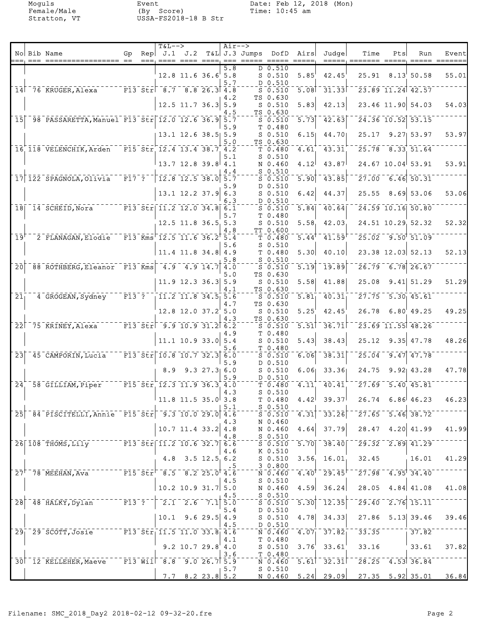|                                |                                                                                        |                                                                                 | $T&L-->$ |                                                          |                  | Air-->         |                                         |                                                                                                  |                   |                          |                                                                                                                                                               |     |                                              |                         |
|--------------------------------|----------------------------------------------------------------------------------------|---------------------------------------------------------------------------------|----------|----------------------------------------------------------|------------------|----------------|-----------------------------------------|--------------------------------------------------------------------------------------------------|-------------------|--------------------------|---------------------------------------------------------------------------------------------------------------------------------------------------------------|-----|----------------------------------------------|-------------------------|
|                                | No Bib Name                                                                            | Gp                                                                              |          |                                                          |                  |                | Rep $J.1$ $J.2$ T&L J.3 Jumps DofD Airs |                                                                                                  |                   | Judge                    | Time                                                                                                                                                          | Pts | Run                                          | Event                   |
|                                |                                                                                        |                                                                                 |          | 12.8 11.6 36.6 5.8                                       |                  | 5.8<br>5.7     |                                         | D 0.510<br>$S$ 0.510<br>D 0.510                                                                  | 5.85              | 42.45                    |                                                                                                                                                               |     | $25.91$ $8.13$ $50.58$                       | 55.01                   |
|                                | 14 76 KRUGER, Alexa F13 Str 8.7 8.8 26.3 4.8                                           |                                                                                 |          |                                                          |                  |                |                                         | $\overline{\mathsf{s}}$ $\overline{\mathsf{0}}$ $\overline{\mathsf{s}}$ $\overline{\mathsf{10}}$ | 5.08              | 31.33                    |                                                                                                                                                               |     | $\sqrt{23.89}$ $\sqrt{11.24}$ $\sqrt{42.57}$ |                         |
|                                |                                                                                        |                                                                                 |          | $12.5$ 11.7 36.3 5.9                                     |                  | 4.2            |                                         | TS 0.630<br>$S_0.510$                                                                            | 5.83              | 42.13                    |                                                                                                                                                               |     | 23.46 11.90 54.03                            | 54.03                   |
|                                | 15 98 PASSARETTA, Manuel F13 Str 12.0 12.6 36.9 5.7                                    |                                                                                 |          |                                                          |                  | 4.5            |                                         | TS 0.630<br>$S$ 0.510                                                                            | $\overline{5.73}$ | 42.63                    |                                                                                                                                                               |     | 24.36 10.52 53.15                            |                         |
|                                |                                                                                        |                                                                                 |          |                                                          |                  | 5.9            |                                         | T 0.480                                                                                          |                   |                          |                                                                                                                                                               |     |                                              |                         |
|                                |                                                                                        |                                                                                 |          | 13.1 12.6 38.5 5.9                                       |                  | 5.0            |                                         | $S_0.510$<br>TS 0.630                                                                            | 6.15              | 44.70                    |                                                                                                                                                               |     | 25.17 9.27 53.97                             | 53.97                   |
|                                | 16 118 VELENCHIK, Arden F15 Str 12.4 13.4 38.7 4.2                                     |                                                                                 |          |                                                          |                  |                |                                         | $T_{0.480}$                                                                                      | 4.61              | 43.31                    |                                                                                                                                                               |     | $25.78$ $8.33$ $51.64$                       |                         |
|                                |                                                                                        |                                                                                 |          | $13.7$ 12.8 39.8 4.1                                     |                  | 5.1<br>4.4     |                                         | $S_0.510$<br>N 0.460<br>$S_0.510$                                                                | 4.12              | 43.87                    |                                                                                                                                                               |     | 24.67 10.04 53.91                            | 53.91                   |
|                                | 17 122 SPAGNOLA, Olivia                                                                | $\bar{r}$ $\bar{r}$ $\bar{r}$ $\bar{r}$ $\bar{r}$ $\bar{r}$ $\bar{r}$ $\bar{r}$ |          | $\begin{bmatrix} 12.8 & 12.5 & 38.0 & 5.7 \end{bmatrix}$ |                  |                |                                         | $S$ 0.510                                                                                        | 5.90              | 43.85                    |                                                                                                                                                               |     | $\sqrt{27.00}$ 6.46 50.31                    |                         |
|                                |                                                                                        |                                                                                 |          | $13.1$ 12.2 37.9 6.3                                     |                  | 5.9            |                                         | D 0.510<br>$S$ 0.510                                                                             | 6.42              | 44.37                    |                                                                                                                                                               |     | $25.55$ 8.69 53.06                           | 53.06                   |
|                                | 18 14 SCHEID, Nora F13 Str 11.2 12.0 34.8 6.1                                          |                                                                                 |          |                                                          |                  | 6.3            |                                         | D 0.510<br>$S$ 0.510                                                                             | $\overline{5.84}$ | 40.64                    |                                                                                                                                                               |     | $\overline{24.59}$ 10.16 50.80               |                         |
|                                |                                                                                        |                                                                                 |          |                                                          |                  | 5.7            |                                         | T 0.480                                                                                          |                   |                          |                                                                                                                                                               |     |                                              |                         |
|                                |                                                                                        |                                                                                 |          | $12.5$ 11.8 36.5 5.3                                     |                  | 4.8            |                                         | $S_0.510$<br>TT 0.600                                                                            | 5.58              | 42.03                    |                                                                                                                                                               |     | 24.51 10.29 52.32                            | 52.32                   |
| $\overline{1}9^{\overline{1}}$ | 2 FLANAGAN, Elodie F13 Kms 12.5 11.6 36.2 5.4                                          |                                                                                 |          |                                                          |                  |                |                                         | T 0.480                                                                                          | 5.44              | 41.59                    |                                                                                                                                                               |     | $25.02 - 9.50$ $51.09$                       |                         |
|                                |                                                                                        |                                                                                 |          | $11.4$ 11.8 34.8 4.9                                     |                  | 5.6            |                                         | $S_0.510$<br>T 0.480                                                                             | 5.30              | 40.10                    |                                                                                                                                                               |     | 23.38 12.03 52.13                            | 52.13                   |
| $\overline{20}$                | 88 ROTHBERG, Eleanor F13 Kms 4.9 4.9 14.7 4.0                                          |                                                                                 |          |                                                          |                  | 5.8            |                                         | $S_0.510$<br>$S$ 0.510                                                                           | 5.19              | 19.89                    |                                                                                                                                                               |     | $26.79 - 6.78$ 26.67                         |                         |
|                                |                                                                                        |                                                                                 |          | $11.9$ 12.3 36.3 5.9                                     |                  | 5.0            |                                         | TS 0.630<br>$S_0.510$                                                                            | 5.58              | 41.88                    | 25.08                                                                                                                                                         |     | $9.41$ 51.29                                 | 51.29                   |
| 21 <sub>1</sub>                | 4 GROGEAN, Sydney                                                                      | $\overline{\texttt{F13}}$ ?                                                     |          | $11.2$ 11.8 34.5 5.6                                     |                  | 4.1            |                                         | TS 0.630<br>$S_0.510$                                                                            | $\overline{5.81}$ | 40.31                    |                                                                                                                                                               |     | $27.75 - 5.30$ 45.61                         |                         |
|                                |                                                                                        |                                                                                 |          |                                                          |                  | 4.7            |                                         | TS 0.630                                                                                         |                   |                          |                                                                                                                                                               |     |                                              |                         |
|                                |                                                                                        |                                                                                 |          | 12.8 12.0 37.2 5.0                                       |                  | 4.3            |                                         | $S_0.510$<br>TS 0.630                                                                            | 5.25              | 42.45                    |                                                                                                                                                               |     | $26.78$ $6.80$ 49.25                         | 49.25                   |
|                                | 22 75 KRINEY, Alexa F13 Str 9.9 10.9 31.2 6.2                                          |                                                                                 |          |                                                          |                  | 4.9            |                                         | $S_0.510$<br>T <sub>0.480</sub>                                                                  | 5.51              | 36.71                    |                                                                                                                                                               |     | 23.69 11.55 48.26                            |                         |
|                                |                                                                                        |                                                                                 |          | $11.1$ 10.9 33.0 5.4                                     |                  |                |                                         | $S_0.510$                                                                                        | 5.43              | 38.43                    | 25.12                                                                                                                                                         |     | $9.35$ 47.78                                 | 48.26                   |
|                                | $23$ <sup>-45</sup> CAMPORIN, Lucia                                                    |                                                                                 |          | $\sqrt{13.5t}$ r $\sqrt{10.8}$ 10.7 32.3 6.0             |                  | 5.6            |                                         | T 0.480<br>$S_0.510$                                                                             | 6.06              | 38.31                    |                                                                                                                                                               |     | $25.04 - 9.47$ 47.78                         |                         |
|                                |                                                                                        |                                                                                 | 8.9      |                                                          | $9.3$ $27.3$ 6.0 | 5.9            |                                         | D 0.510<br>$S$ 0.510                                                                             | 6.06              | 33.36                    | 24.75                                                                                                                                                         |     | $9.92$ 43.28                                 | 47.78                   |
|                                | 24 58 GILLIAM, Piper                                                                   |                                                                                 |          | $-$ F15 Str 12.3 11.9 36.3 4.0                           |                  | 5.9            |                                         | D 0.510                                                                                          | 4.11              | 40.41                    |                                                                                                                                                               |     | $27.69$ 5.40 45.81                           |                         |
|                                |                                                                                        |                                                                                 |          |                                                          |                  | 4.3            |                                         | T 0.480<br>$S$ 0.510                                                                             |                   |                          |                                                                                                                                                               |     |                                              |                         |
|                                |                                                                                        |                                                                                 |          | $\perp$ 11.8 11.5 35.0 3.8                               |                  | 5.1            |                                         | T <sub>0.480</sub><br>$S_0.510$                                                                  |                   | $4.42$ 39.37             |                                                                                                                                                               |     | $26.74$ 6.86 46.23                           | 46.23                   |
|                                | $25$ <sup>-84-</sup> PISCITELLI, Annie F15-Str <sup>-9.3</sup> 10.029.0 <sup>2</sup> . |                                                                                 |          |                                                          |                  |                |                                         |                                                                                                  |                   |                          | $-5.6510 - 4.31$ $-33.26$ $-27.65 - 5.46$ 38.72                                                                                                               |     |                                              |                         |
|                                |                                                                                        |                                                                                 |          | $10.7$ 11.4 33.2 4.8                                     |                  | 4.3            |                                         | N 0.460                                                                                          | N 0.460 4.64      |                          | $37.79$ 28.47 4.20 41.99 41.99                                                                                                                                |     |                                              |                         |
|                                | 26 108 THOMS, Lily F13 Str 11.2 10.6 32.7 6.6                                          |                                                                                 |          |                                                          |                  | 4.8            |                                         | $S_0.510$                                                                                        |                   |                          | $5.70 - 3.70 - 38.40 - 29.32 - 2.89 - 41.29$                                                                                                                  |     |                                              |                         |
|                                |                                                                                        |                                                                                 |          |                                                          |                  | 4.6            |                                         | K 0.510                                                                                          |                   |                          |                                                                                                                                                               |     | $32.45$ 16.01                                | 41.29                   |
|                                |                                                                                        |                                                                                 |          | 4.8 3.5 $12.5$ 6.2                                       |                  | $\overline{5}$ |                                         | 30.800                                                                                           |                   | $S$ 0.510 3.56 16.01     |                                                                                                                                                               |     |                                              |                         |
|                                | $27^{+78}$ MEEHAN, Ava F15 Str <sup>-</sup> 8.5 8.2 25.0 <sup>+</sup> 4.6              |                                                                                 |          |                                                          |                  | 4.5            |                                         | $S_0.510$                                                                                        |                   |                          | $\overline{N}$ 0.460 4.40 <sup>+</sup> 29.45 <sup>+ -</sup> 27.98 4.95 <sup>+</sup> 34.40                                                                     |     |                                              |                         |
|                                |                                                                                        |                                                                                 |          | $ 10.2\;10.9\;31.7 \;5.0$                                |                  |                |                                         | N 0.460                                                                                          |                   | $4.59$ 36.24             |                                                                                                                                                               |     | $28.05$ 4.84 41.08                           | 41.08                   |
|                                |                                                                                        |                                                                                 |          |                                                          |                  | 4.5            |                                         | $S$ $0.510$                                                                                      |                   | $-5.510 - 5.30$ $-12.35$ |                                                                                                                                                               |     | $\sqrt{29.40}$ $\sqrt{2.76}$ $\sqrt{15.11}$  |                         |
|                                |                                                                                        |                                                                                 |          | $10.1$ 9.6 29.5 4.9                                      |                  | 5.4            |                                         | D 0.510                                                                                          |                   |                          | $S$ 0.510 4.78 34.33 27.86 5.13 39.46                                                                                                                         |     |                                              | 39.46                   |
|                                | $29^{\degree}$ 29 SCOTT, Josie $\overline{F13}$ Str $\overline{11.5}$ 11.0 33.8 4.6    |                                                                                 |          |                                                          |                  | 4.5            |                                         | $D_0.510$                                                                                        |                   |                          | $N$ 0.460 4.07 37.82 33.35                                                                                                                                    |     |                                              |                         |
|                                |                                                                                        |                                                                                 |          | $9.2$ 10.7 29.8 4.0                                      |                  | 4.1            |                                         | T 0.480                                                                                          |                   | $S$ 0.510 3.76 33.61     |                                                                                                                                                               |     |                                              | $33.16$ $33.61$ $37.82$ |
|                                |                                                                                        |                                                                                 |          |                                                          |                  | 3.6            |                                         | T <sub>0.480</sub>                                                                               |                   |                          |                                                                                                                                                               |     |                                              |                         |
|                                | 30 <sup>-12</sup> KELLEHER, Maeve F13 Will 8.8 9.0 26.7 5.9                            |                                                                                 |          |                                                          |                  | 1.5.7          |                                         | $S_0.510$                                                                                        |                   |                          | $\overline{N}$ $\overline{0.460}$ $\overline{5.61}$ $\overline{32.31}$ $\overline{1}$ $\overline{28.25}$ $\overline{4.53}$ $\overline{36.84}$ $\overline{25}$ |     |                                              |                         |
|                                |                                                                                        |                                                                                 |          | $7.7$ 8.2 23.8 5.2                                       |                  |                |                                         |                                                                                                  |                   |                          | N 0.460 5.24 29.09 27.35 5.92 35.01 36.84                                                                                                                     |     |                                              |                         |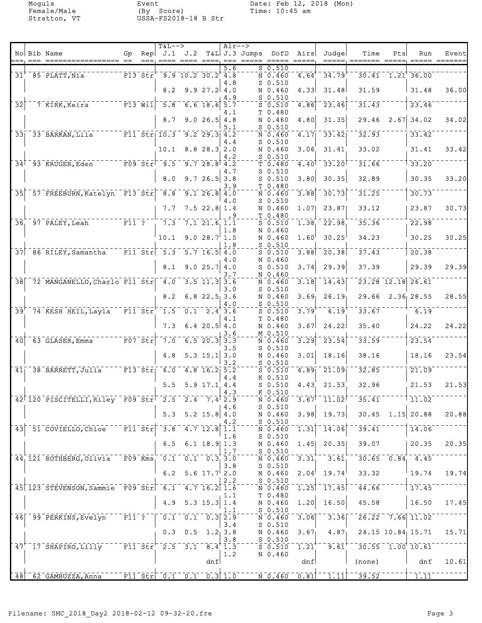|                 |                                                                                                                                      |                  |                                                                       | $T&L-->$                                                                      |                            |                       | $Air-->$   |                 |                                                                                               |                                                                                     |                                                       |                                                                               |      |                                                           |       |
|-----------------|--------------------------------------------------------------------------------------------------------------------------------------|------------------|-----------------------------------------------------------------------|-------------------------------------------------------------------------------|----------------------------|-----------------------|------------|-----------------|-----------------------------------------------------------------------------------------------|-------------------------------------------------------------------------------------|-------------------------------------------------------|-------------------------------------------------------------------------------|------|-----------------------------------------------------------|-------|
|                 | No Bib Name                                                                                                                          | Gp.              | $==$                                                                  | $\text{Rep} \mid J.1$                                                         | J.2<br>$=$ === ==== ====   |                       | $== =$     | $T&L$ J.3 Jumps | DofD                                                                                          | Airs<br>$\qquad \qquad \doteq\qquad \qquad \doteq\qquad \qquad \doteq\qquad \qquad$ | Judge                                                 | Time<br>=====, ======= =====                                                  | Pts  | Run<br>$\qquad \qquad \equiv \equiv \equiv \equiv \equiv$ | Event |
|                 | $31+$ $85$ $PLATT$ , $Nia$                                                                                                           |                  | $F13$ $Str'$                                                          |                                                                               | $-9.9$ $10.2$ $30.2$ $4.8$ |                       | 5.6        |                 | $S_0.510$<br>N 0.460                                                                          | 4.64                                                                                | 34.79                                                 |                                                                               |      | $30.41$ $1.21$ $36.00$                                    |       |
|                 |                                                                                                                                      |                  |                                                                       | 8.2                                                                           |                            | $9.9 27.2$ 4.0        | 4.8        |                 | $S$ 0.510<br>N 0.460                                                                          | 4.33                                                                                | 31.48                                                 | 31.59                                                                         |      | 31.48                                                     | 36.00 |
| $\overline{32}$ | 7 KIRK, Keira                                                                                                                        |                  | $\bar{r}$ $\bar{r}$ $\bar{3}$ $\bar{w}$ $\bar{1}$ $\bar{1}$ $\bar{1}$ | $\overline{5.8}$                                                              |                            | $6.6$ 18.6            | 4.9<br>5.7 |                 | $S$ 0.510<br>$S$ 0.510                                                                        | 4.86                                                                                | 23.46                                                 | 31.43                                                                         |      | 23.46                                                     |       |
|                 |                                                                                                                                      |                  |                                                                       | 8.7                                                                           |                            | $9.026.5$ 4.8         | 4.1        |                 | T 0.480<br>N 0.460                                                                            | 4.80                                                                                | 31.35                                                 | 29.46                                                                         | 2.67 | 34.02                                                     | 34.02 |
|                 | 33 BARKAN, Lila                                                                                                                      |                  |                                                                       | $- -  \text{F11} - \text{SET} - \text{I0.3}$                                  |                            | $9.2$ 29.3            | 5.1<br>4.2 |                 | $S$ 0.510<br>N 0.460                                                                          | 4.17                                                                                | 33.42                                                 | 32.93                                                                         |      | 33.42                                                     |       |
|                 |                                                                                                                                      |                  |                                                                       | 10.1                                                                          |                            | 8.8 28.3 2.0          | 4.4        |                 | $S$ 0.510<br>N 0.460                                                                          | 3.06                                                                                | 31.41                                                 | 33.02                                                                         |      | 31.41                                                     | 33.42 |
|                 | 34 <sup>-</sup> 93 KRUGER, Eden                                                                                                      |                  |                                                                       | $\overline{\texttt{F09}}$ $\overline{\texttt{Str}}$ $\overline{\texttt{9.5}}$ |                            | 9.728.8               | 4.2        |                 | $S_0.510$                                                                                     | $4.40$ <sup>T</sup>                                                                 | 33.20                                                 | 31.66                                                                         |      | 33.20                                                     |       |
|                 |                                                                                                                                      |                  |                                                                       |                                                                               |                            |                       | 4.2<br>4.7 |                 | T 0.480<br>$S$ 0.510                                                                          |                                                                                     |                                                       |                                                                               |      |                                                           |       |
|                 |                                                                                                                                      |                  |                                                                       | 8.0                                                                           |                            | 9.726.5               | 3.8<br>3.9 |                 | $S$ 0.510<br>T 0.480                                                                          | 3.80                                                                                | 30.35                                                 | 32.89                                                                         |      | 30.35                                                     | 33.20 |
| $\overline{35}$ | 57 FREEBURN, Katelyn F13 Str 8.8                                                                                                     |                  |                                                                       |                                                                               |                            | $\overline{9.1}$ 26.8 | 4.0<br>4.0 |                 | N 0.460<br>$S$ 0.510                                                                          | 3.88                                                                                | 30.73                                                 | 31.25                                                                         |      | 30.73                                                     |       |
|                 |                                                                                                                                      |                  |                                                                       | 7.7                                                                           |                            | $7.5$ 22.8 1.4        | . 9        |                 | N 0.460<br>T 0.480                                                                            | 1.07                                                                                | 23.87                                                 | 33.12                                                                         |      | 23.87                                                     | 30.73 |
| $36^{-}$        | 97 PALEY, Leah                                                                                                                       | $\overline{r11}$ |                                                                       | $\bar{7}.\bar{3}$                                                             |                            | $7.1$ 21.6 1.1        | 1.8        |                 | $S$ 0.510<br>N 0.460                                                                          | 1.38                                                                                | 22.98                                                 | 35.36                                                                         |      | 22.98                                                     |       |
|                 |                                                                                                                                      |                  |                                                                       | 10.1                                                                          |                            | 9.028.7               | 1.5<br>1.8 |                 | N 0.460<br>$S$ 0.510                                                                          | 1.60                                                                                | 30.25                                                 | 34.23                                                                         |      | 30.25                                                     | 30.25 |
|                 | 37 86 RILEY, Samantha                                                                                                                |                  |                                                                       | $\overline{F11}$ $\overline{Str}$ $\overline{5.3}$                            |                            | $5.7$ 16.5 4.0        | 4.O        |                 | $S$ 0.510<br>N 0.460                                                                          | 3.88                                                                                | 20.38                                                 | 37.43                                                                         |      | 20.38                                                     |       |
|                 |                                                                                                                                      |                  |                                                                       | 8.1                                                                           |                            | 9.025.7               | 4.0<br>3.7 |                 | $S$ 0.510<br>N 0.460                                                                          | 3.74                                                                                | 29.39                                                 | 37.39                                                                         |      | 29.39                                                     | 29.39 |
|                 | 38 72 MANGANELLO, Charlo F11 Str 4.0                                                                                                 |                  |                                                                       |                                                                               |                            | $3.5$ $11.3$          | 3.6        |                 | N 0.460<br>$S$ 0.510                                                                          | 3.18                                                                                | 14.43                                                 |                                                                               |      | $\overline{23.28}$ 12.18 26.61                            |       |
|                 |                                                                                                                                      |                  |                                                                       | 8.2                                                                           |                            | $6.8$ 22.5 3.6        | 3.0        |                 | N 0.460                                                                                       | 3.69                                                                                | 26.19                                                 | 29.66                                                                         |      | $2.36$ 28.55                                              | 28.55 |
|                 | 39 74 KESH HEIL, Layla                                                                                                               | F115             |                                                                       | $\overline{1.5}$                                                              |                            | $0.1 \quad 2.4$ 3.6   | 4.0        |                 | $S$ 0.510<br>$S_0.510$                                                                        | 3.79                                                                                | 6.19                                                  | 33.67                                                                         |      | 6.19                                                      |       |
|                 |                                                                                                                                      |                  |                                                                       | 7.3                                                                           |                            | $6.4$ 20.5 $4.0$      | 4.1        |                 | T <sub>0.480</sub><br>N 0.460                                                                 | 3.67                                                                                | 24.22                                                 | 35.40                                                                         |      | 24.22                                                     | 24.22 |
| $\overline{40}$ | $63$ GLASER, Emma                                                                                                                    |                  | $\bar{F}07$ $\bar{S}t\bar{r}$                                         | $\bar{7.0}$                                                                   |                            | 6.520.3               | 3.6<br>3.3 |                 | M 0.510<br>N 0.460                                                                            | 3.29                                                                                | 23.54                                                 | 33.59                                                                         |      | 23.54                                                     |       |
|                 |                                                                                                                                      |                  |                                                                       | 4.8                                                                           |                            | $5.3$ 15.1            | 3.5<br>3.0 |                 | $S$ 0.510<br>N 0.460                                                                          | 3.01                                                                                | 18.16                                                 | 38.16                                                                         |      | 18.16                                                     | 23.54 |
|                 | 41 38 BARRETT, Julia                                                                                                                 |                  |                                                                       | $ \bar{r}$ 13 $\bar{s}$ tr $ $ 6.0                                            |                            | $4.8$ 16.2 5.2        | 3.2        |                 | $S$ 0.510<br>$S$ 0.510                                                                        | 4.89                                                                                | 21.09                                                 | 32.85                                                                         |      | 21.09                                                     |       |
|                 |                                                                                                                                      |                  |                                                                       | 5.5                                                                           |                            | 5.9 17.1 4.4          | 4.4        |                 | K 0.510<br>$S$ 0.510                                                                          | 4.43                                                                                | 21.53                                                 | 32.96                                                                         |      | 21.53                                                     | 21.53 |
|                 | 42 120 PISCITELLI, Riley F09 Str 2.5 2.4 7.4 2.9                                                                                     |                  |                                                                       |                                                                               |                            |                       | 4.3        |                 | K 0.510<br>N 0.460                                                                            |                                                                                     | $\bar{3.67}$ <sup>-</sup> 11.02 $^{\circ}$            |                                                                               |      | $-35.41$ $-11.02$                                         |       |
|                 |                                                                                                                                      |                  |                                                                       |                                                                               | $5.3$ $5.2$ $15.8$ $4.0$   |                       | 4.6        |                 | $S$ 0.510<br>N 0.460                                                                          |                                                                                     | $3.98$ 19.73                                          |                                                                               |      | $30.45$ 1.15 20.88                                        | 20.88 |
|                 | 43 51 COVIELLO, Chloe F11 Str 3.8 4.7 12.8                                                                                           |                  |                                                                       |                                                                               |                            |                       | 4.2<br>1.1 |                 | $S_0.510$<br>N 0.460                                                                          | $\overline{1.31}$                                                                   | $-14.06$                                              | $\overline{39.41}^-$                                                          |      | 14.06                                                     |       |
|                 |                                                                                                                                      |                  |                                                                       | 6.5                                                                           |                            |                       | 1.6        |                 | $S_0.510$                                                                                     |                                                                                     |                                                       | 39.07                                                                         |      |                                                           | 20.35 |
|                 |                                                                                                                                      |                  |                                                                       |                                                                               |                            | 6.1 $18.9$ 1.3        | 1.7        |                 | N 0.460<br>$S_0.510$                                                                          | 1.45                                                                                | 20.35                                                 |                                                                               |      | 20.35                                                     |       |
|                 | 44 121 ROTHBERG, Olivia F09 Kms 0.1 0.1 0.3 3.0                                                                                      |                  |                                                                       |                                                                               |                            |                       | 3.8        |                 | N 0.460<br>$S_0.510$                                                                          | 3.31                                                                                | 3.61                                                  |                                                                               |      | $30.65 - 0.84 - 4.45$                                     |       |
|                 |                                                                                                                                      |                  |                                                                       |                                                                               | 6.2 5.6 $17.7$ 2.0         |                       | 2.2        |                 | N 0.460<br>$S_0.510$                                                                          | 2.04 <sup>1</sup>                                                                   | 19.74                                                 | 33.32                                                                         |      | 19.74                                                     | 19.74 |
|                 | 45 123 STEVENSON, Sammie F09 Str 6.1 4.7 16.2 1.6                                                                                    |                  |                                                                       |                                                                               |                            |                       | 1.1        |                 | N 0.460<br>T 0.480                                                                            |                                                                                     | $\overline{1.25}$ ] $\overline{17.45}$ $\overline{1}$ | $\overline{4}\overline{4}\overline{.}\overline{6}\overline{6}$ $\overline{6}$ |      | 17.45                                                     |       |
|                 |                                                                                                                                      |                  |                                                                       |                                                                               | 4.9 5.3 15.3               |                       | 1.4<br>1.1 |                 | N 0.460<br>$S_0.510$                                                                          | 1.20                                                                                | 16.50                                                 | 45.58                                                                         |      | 16.50                                                     | 17.45 |
|                 | 46   99 PERKINS, Evelyn F11 ?   0.1 0.1 0.3 2.9                                                                                      |                  |                                                                       |                                                                               |                            |                       | 3.4        |                 | $\bar{\mathbf{N}}$ $\bar{\mathbf{0}}$ , $\bar{\mathbf{4}}$ 60 $\bar{\mathbf{0}}$<br>$S_0.510$ | 3.06                                                                                | $3.36$ <sup>-</sup>                                   |                                                                               |      | $\sqrt{26.22}$ $\sqrt{7.66}$ $\sqrt{11.02}$               |       |
|                 |                                                                                                                                      |                  |                                                                       |                                                                               | $0.3$ 0.5 1.2 3.8          |                       | 3.8        |                 | N 0.460<br>$S$ 0.510                                                                          | 3.67                                                                                | 4.87                                                  |                                                                               |      | 24.15 10.84 15.71                                         | 15.71 |
|                 | 47 <sup>+</sup> 17 SHAPIRO, Lilly F11 Str <sup>-</sup> 2.5 3.1 8.4 1.3                                                               |                  |                                                                       |                                                                               |                            |                       | 1.2        |                 | S 0.510<br>N 0.460                                                                            | 1.21                                                                                | $^{\texttt{-}-}$ 9.61 $^{\texttt{-}}$                 |                                                                               |      | $\sqrt{30.55}$ $\sqrt{1.00}$ $\sqrt{10.61}$               |       |
|                 |                                                                                                                                      |                  |                                                                       |                                                                               |                            | dnf                   |            |                 |                                                                                               | dnf                                                                                 |                                                       | (none)                                                                        |      | dnf                                                       | 10.61 |
|                 | $^{-1}$ 48 $^{-6}$ 2 GAMBUZZA,Anna $^{-1}$ F11 Str $^{-0.1}$ 0.1 $^{-0.3}$ 1.0 $^{-1}$ N 0.460 $^{-0.81}$ 1.11 $^{-1}$ 39.52 $^{-1}$ |                  |                                                                       |                                                                               |                            |                       |            |                 |                                                                                               |                                                                                     |                                                       |                                                                               |      | $\overline{1.11}$                                         |       |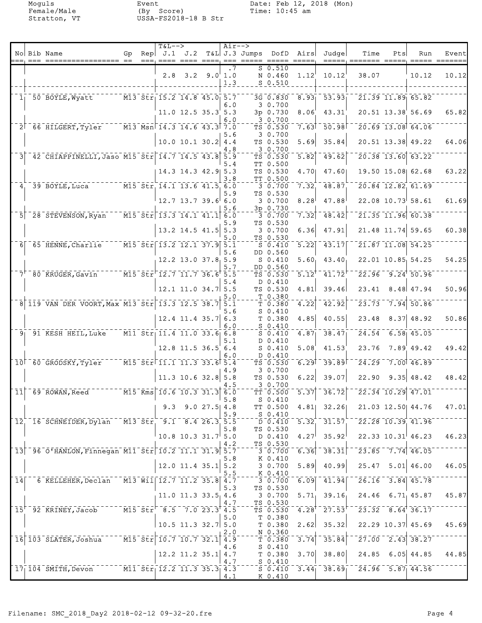Female/Male (By Score) Time: 10:45 am Stratton, VT USSA-FS2018-18 B Str

Moguls Event Date: Feb 12, 2018 (Mon)<br>
Female/Male (By Score) Time: 10:45 am

|                |                                                                                                                                        |    | <b>T&amp;L--&gt;</b>                                                                                                               |                         |                | $Air--$          |                                       |                   |                                                                        |                                                                                             |     |                                                           |                        |
|----------------|----------------------------------------------------------------------------------------------------------------------------------------|----|------------------------------------------------------------------------------------------------------------------------------------|-------------------------|----------------|------------------|---------------------------------------|-------------------|------------------------------------------------------------------------|---------------------------------------------------------------------------------------------|-----|-----------------------------------------------------------|------------------------|
|                | No Bib Name                                                                                                                            | Gp | $\text{Rep}$ J.1                                                                                                                   | J.2                     |                | $= = =$          | T&L J.3 Jumps DofD Airs               |                   | Judgel                                                                 | Time<br>=====; ======= =====;                                                               | Pts | Run                                                       | Event<br>===== ======= |
|                |                                                                                                                                        |    |                                                                                                                                    | $2.8$ $3.2$ $9.0$ $1.0$ |                | $\cdot$ 1<br>1.3 | S 0.510<br>N 0.460<br>$S$ 0.510       | 1.12              | 10.12                                                                  | 38.07                                                                                       |     | 10.12                                                     | 10.12                  |
| 1 <sub>1</sub> | 50 BOYLE, Wyatt                                                                                                                        |    | $\overline{M13}$ Str 15.2 14.8 45.0 5.7                                                                                            |                         |                |                  | 3G 0.830                              |                   | $8.93$ $53.93$                                                         |                                                                                             |     | $\overline{21.39}$ $\overline{11.89}$ $\overline{65.82}$  |                        |
|                |                                                                                                                                        |    |                                                                                                                                    | $11.0$ 12.5 35.3 5.3    |                | 6.0              | 3 0.700<br>3p 0.730                   | 8.06              | 43.31                                                                  |                                                                                             |     | 20.51 13.38 56.69                                         | 65.82                  |
|                | 2 66 HILGERT, Tyler M13 Msn 14.3 14.6 43.3 7.0                                                                                         |    |                                                                                                                                    |                         |                | 6.0              | 30.700<br>TS 0.530                    | 7.63              | 50.98                                                                  |                                                                                             |     | 20.69 13.08 64.06                                         |                        |
|                |                                                                                                                                        |    |                                                                                                                                    | 10.0 10.1 30.2 4.4      |                | 5.6              | 30.700<br>TS 0.530                    | 5.69              | 35.84                                                                  |                                                                                             |     | 20.51 13.38 49.22                                         | 64.06                  |
|                | 42 CHIAPPINELLI, Jaso M15 Str 14.7 14.5 43.8                                                                                           |    |                                                                                                                                    |                         |                | 4.8<br>5.9       | 30.700<br>TS 0.530                    | 5.82              | 49.62                                                                  |                                                                                             |     | 20.38 13.60 63.22                                         |                        |
|                |                                                                                                                                        |    |                                                                                                                                    | 14.3 14.3 42.9 5.3      |                | 5.4<br>3.8       | TT 0.500<br>TS 0.530<br>TT 0.500      | 4.70              | 47.60                                                                  |                                                                                             |     | 19.50 15.08 62.68                                         | 63.22                  |
| 4.             | 39 BOYLE, Luca                                                                                                                         |    | $\overline{M15}$ $\overline{511}$ $\overline{14.1}$ $\overline{13.6}$ $\overline{41.5}$ $\overline{6.0}$                           |                         |                | 5.9              | 3 0.700<br>TS 0.530                   | 7.32              | $\bar{48.87}$                                                          |                                                                                             |     | $20.84$ 12.82 61.69                                       |                        |
|                |                                                                                                                                        |    |                                                                                                                                    | 12.7 13.7 39.6 6.0      |                | 5.6              | 30.700<br>3p 0.730                    | 8.28              | 47.88                                                                  |                                                                                             |     | $22.08$ 10.73 58.61                                       | 61.69                  |
|                | $5$ <sup>-28</sup> STEVENSON, Ryan                                                                                                     |    | $\overline{0.015 \cdot 0.015 \cdot 0.015}$ $\overline{1.3 \cdot 3 \cdot 14 \cdot 1 \cdot 41 \cdot 1}$ $\overline{6.0 \cdot 0.015}$ |                         |                | 5.9              | 3 0.700<br>TS 0.530                   | 7.32              | 48.42                                                                  |                                                                                             |     | $\overline{21.35}$ $\overline{11.96}$ 60.38               |                        |
|                |                                                                                                                                        |    |                                                                                                                                    | $13.2$ 14.5 41.5        |                | 5.3<br>5.0       | 30.700<br>TS 0.530                    | 6.36              | 47.91                                                                  |                                                                                             |     | 21.48 11.74 59.65                                         | 60.38                  |
| 6 <sup>1</sup> | 65 HENNE, Charlie                                                                                                                      |    | $\overline{M15}$ $\overline{5}$ tr $\overline{13.2}$ $\overline{12.1}$ $\overline{37.9}$ $\overline{5.1}$                          |                         |                | 5.6              | $S_0.410$<br>DD 0.560                 | 5.22              | 43.17                                                                  |                                                                                             |     | 21.87 11.08 54.25                                         |                        |
|                |                                                                                                                                        |    |                                                                                                                                    | $12.2$ 13.0 37.8 5.9    |                | 5.7              | $S_0.410$<br>DD 0.560                 | $5.60_1$          | 43.40                                                                  |                                                                                             |     | 22.01 10.85 54.25                                         | 54.25                  |
|                | 7 80 KRUGER, Gavin                                                                                                                     |    | M15 Str 12.7 11.7 36.6 5.5                                                                                                         |                         |                | 5.4              | TS 0.530<br>$D_0.410$                 | 5.12              | 41.72                                                                  |                                                                                             |     | $22.96 - 9.24$ 50.96                                      |                        |
|                |                                                                                                                                        |    |                                                                                                                                    | $12.1$ 11.0 34.7 5.5    |                | 5.0              | TS 0.530<br>T 0.380                   | 4.81              | 39.46                                                                  | 23.41                                                                                       |     | $8.48$ 47.94                                              | 50.96                  |
|                | 8 119 VAN DER VOORT, Max M13 Str 13.3 12.5 38.7                                                                                        |    |                                                                                                                                    |                         |                | 5.1<br>5.6       | T <sub>0.380</sub><br>$S_0.410$       | 4.22              | 42.92                                                                  | 23.73                                                                                       |     | $7.94$ 50.86                                              |                        |
|                |                                                                                                                                        |    |                                                                                                                                    | $12.4$ 11.4 35.7 6.3    |                | 6.0              | T 0.380<br>$S_0.410$                  | 4.85              | 40.55                                                                  | 23.48                                                                                       |     | $8.37$ 48.92                                              | 50.86                  |
|                | $91$ $91$ KESH HEIL, Luke                                                                                                              |    | $\overline{M11}$ Str $\overline{11.4}$ $\overline{11.0}$ 33.6 6.8                                                                  |                         |                | 5.1              | $S_0.410$<br>D 0.410                  | 4.87              | 38.47                                                                  |                                                                                             |     | $24.54$ 6.58 45.05                                        |                        |
|                |                                                                                                                                        |    |                                                                                                                                    | 12.8 11.5 36.5 6.4      |                | 6.0              | $S_0.410$<br>D 0.410                  | 5.08              | 41.53                                                                  | 23.76                                                                                       |     | 7.89 49.42                                                | 49.42                  |
|                | 10 60 GRODSKY, Tyler                                                                                                                   |    | $\bar{0}$ M15 $\bar{0}$ Str $\bar{0}$ 11.1 11.3 33.6                                                                               |                         |                | 5.4<br>4.9       | TS 0.530<br>30.700                    | 6.29              | 39.89                                                                  | 24.29                                                                                       |     | $7.00$ 46.89                                              |                        |
|                |                                                                                                                                        |    |                                                                                                                                    | $11.3$ 10.6 32.8 5.8    |                | 4.5              | TS 0.530<br>30.700                    | 6.22              | 39.07                                                                  | 22.90                                                                                       |     | $9.35$ 48.42                                              | 48.42                  |
|                | $11$ <sup>-69-</sup> ROWAN, Reed <sup>-1</sup>                                                                                         |    | $\sqrt{15}$ $\overline{\text{Kms}}$ $\sqrt{10.6}$ $\overline{\text{10.3}}$ $\overline{\text{31.3}}$ $\overline{\text{6.0}}$        |                         |                | 5.8              | TT 0.500<br>S 0.410                   | $\overline{5.37}$ | $\overline{36.72}$                                                     |                                                                                             |     | $\overline{22.34}$ 10.29 47.01                            |                        |
|                |                                                                                                                                        |    | 9.3                                                                                                                                |                         | $9.0$ 27.5 4.8 | 5.9              | TT 0.500<br>$S_0.410$                 |                   | $4.81$ 32.26                                                           |                                                                                             |     | 21.03 12.50 44.76                                         | 47.01                  |
|                | 12, 16 SCHNEIDER, Dylan M13 Str. 9.1 8.4 26.3 5.5                                                                                      |    |                                                                                                                                    |                         |                | 5.8              | TS 0.530                              |                   | $\overline{D}$ $\overline{0.410}$ $\overline{5.32}$ $\overline{31.57}$ |                                                                                             |     | $\sqrt{22.28}$ 10.39 41.96                                |                        |
|                |                                                                                                                                        |    |                                                                                                                                    | $10.8$ 10.3 31.7 5.0    |                | 4.2              | D 0.410<br>TS 0.530                   | 4.27              | 35.92                                                                  |                                                                                             |     | $22.33$ $10.31$ 46.23                                     | 46.23                  |
|                | 13 - 96 0'HANLON, Finnegan M11 Str 10.2 11.1 31.9 5.7                                                                                  |    |                                                                                                                                    |                         |                | 5.8              | $-3 - 0.700 - 6.36$<br>K 0.410        |                   | $-38.31$                                                               |                                                                                             |     | $\sqrt{23.85}$ 7.74 46.05                                 |                        |
|                |                                                                                                                                        |    |                                                                                                                                    | $12.0$ 11.4 35.1 5.2    |                | 5.5              | 3 0.700<br>K 0.410                    | 5.89              | 40.99                                                                  |                                                                                             |     | $25.47$ $5.01$ $46.00$                                    | 46.05                  |
|                | 14 6 KELLEHER, Declan                                                                                                                  |    | $^{-1}$ M13 Wil $\lceil$ 12.7 11.2 35.8 4.7                                                                                        |                         |                | 5.3              | $-3 - 0.700$<br>TS 0.530              |                   | $\overline{6.09}$ $\overline{41.94}$                                   |                                                                                             |     | $\sqrt{26.16}$ $\sqrt{3.84}$ $\sqrt{45.78}$               |                        |
|                |                                                                                                                                        |    |                                                                                                                                    | $11.0$ 11.3 33.5 4.6    |                | 4.7              | 3 0.700<br>TS 0.530                   |                   | $5.71$ , 39.16                                                         |                                                                                             |     | $24.46$ 6.71 45.87                                        | 45.87                  |
|                | 15 <sup>+-</sup> 92 <sup>-</sup> KRINEY, Jacob <sup>-----</sup> M15 <sup>-Str<sup>-</sup>-8.5<sup>-</sup>7.0 23.3<sup>+</sup>4.5</sup> |    |                                                                                                                                    |                         |                | 5.0              | $T\bar{S}$ $0.530$<br>T 0.380         |                   |                                                                        | $-4.28$ <sup>+</sup> $-27.53$ <sup>+-<math>-23.32</math></sup> $-8.64$ <sup>+</sup> $36.17$ |     |                                                           |                        |
|                | 16 103 SLATER, Joshua M15 Str 10.7 10.7 32.1                                                                                           |    |                                                                                                                                    | $10.5$ 11.3 32.7 5.0    |                | 2.0              | T 0.380<br>N 0.360                    | 2.62<br>3.74      | 35.32<br>35.84                                                         |                                                                                             |     | $22.29$ 10.37 45.69<br>$\sqrt{27.00}$ $\sqrt{2.43}$ 38.27 | 45.69                  |
|                |                                                                                                                                        |    |                                                                                                                                    |                         |                | 4.9<br>4.6       | $T_{\overline{1}}$ 0.380<br>$S_0.410$ | 3.70              | 38.80                                                                  |                                                                                             |     | $24.85$ 6.05 44.85                                        | 44.85                  |
|                | 17 104 SMITH, Devon M11 Str 12.2 11.3 35.3 4.3                                                                                         |    |                                                                                                                                    | $12.2$ 11.2 35.1 4.7    |                | 4.7              | T <sub>0.380</sub><br>$S_0.410$       |                   |                                                                        | $5\overline{0.410}$ $3.44$ $38.69$ $24.96$ $5.87$ $44.56$                                   |     |                                                           |                        |
|                |                                                                                                                                        |    |                                                                                                                                    |                         |                | 4.1              | K 0.410                               |                   |                                                                        |                                                                                             |     |                                                           |                        |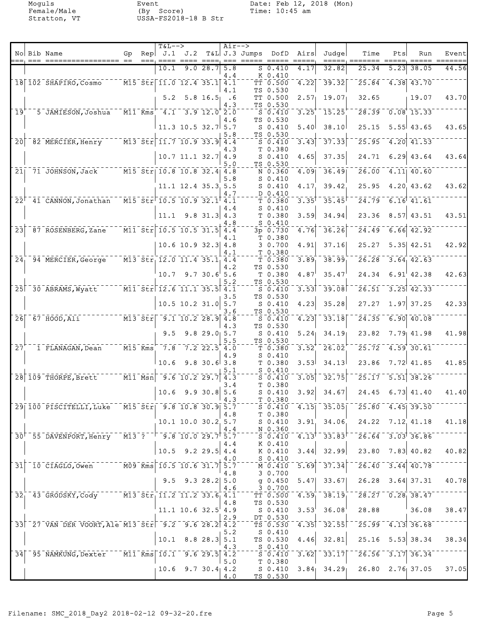|                            |                                                                                                                               |    | <b>T&amp;L--&gt;</b>                                                              |                          |                  | $Air--$    |                         |                                                                       |                                |                                    |                                                     |      |                                             |       |
|----------------------------|-------------------------------------------------------------------------------------------------------------------------------|----|-----------------------------------------------------------------------------------|--------------------------|------------------|------------|-------------------------|-----------------------------------------------------------------------|--------------------------------|------------------------------------|-----------------------------------------------------|------|---------------------------------------------|-------|
|                            | No Bib Name<br>, -- ---- ----------------- --                                                                                 | Gp | Rep $J.1$ $J.2$                                                                   |                          |                  |            | T&L J.3 Jumps DofD Airs |                                                                       |                                | Judgel                             | Time<br>=====, ======= =====, ===== =======         | Pts  | Run                                         | Event |
|                            |                                                                                                                               |    | 10.1                                                                              |                          | 9.028.7          | 5.8        |                         | $S_0.410$                                                             | 4.17                           | 32.82                              | 25.34                                               | 5.23 | 38.05                                       | 44.56 |
|                            | $18$   $102$ SHAPIRO, Cosmo                                                                                                   |    | $\sqrt{15.5}$ $\text{str}$ $\sqrt{11.0}$ $\sqrt{12.4}$ $\sqrt{35.1}$ $\sqrt{4.1}$ |                          |                  | 4.4        |                         | K 0.410<br>$\bar{T}$ $\bar{T}$ $\bar{0}$ , 500                        | 4.22                           | 39.32                              | 25.84                                               |      | $-4.38$ $-43.70$                            |       |
|                            |                                                                                                                               |    |                                                                                   |                          |                  | 4.1        |                         | TS 0.530                                                              |                                |                                    |                                                     |      |                                             |       |
|                            |                                                                                                                               |    | 5.2                                                                               |                          | $5.8 \; 16.5$ .6 | 4.3        |                         | TT 0.500<br>TS 0.530                                                  | 2.57 <sub>1</sub>              | 19.07                              | 32.65                                               |      | 19.07                                       | 43.70 |
| $\bar{1}\bar{9}^{\dagger}$ | 5 JAMIESON, Joshua                                                                                                            |    | $\overline{M11}$ Kms $^{-1}$ 4.1 3.9 12.0 2.0                                     |                          |                  |            |                         | S <sub>0.410</sub>                                                    | 3.25                           | 15.25                              |                                                     |      | $28.39 - 0.08$ 15.33                        |       |
|                            |                                                                                                                               |    |                                                                                   |                          |                  | 4.6        |                         | TS 0.530                                                              |                                |                                    |                                                     |      |                                             |       |
|                            |                                                                                                                               |    |                                                                                   | $11.3$ 10.5 32.7 5.7     |                  | 5.8        |                         | $S_0.410$<br>TS 0.530                                                 | 5.40                           | 38.10                              | 25.15                                               |      | $5.55$ 43.65                                | 43.65 |
| 20 <sup>1</sup>            | 82 MERCIER, Henry M13 Str 11.7 10.9 33.9 4.4                                                                                  |    |                                                                                   |                          |                  |            |                         | $S_0.410$                                                             | 3.43                           | 37.33                              | 25.95                                               |      | $4.20$ $41.53$                              |       |
|                            |                                                                                                                               |    |                                                                                   | $10.7$ 11.1 32.7 4.9     |                  | 4.3        |                         | T 0.380<br>$S_0.410$                                                  | 4.65                           | 37.35                              | 24.71                                               |      | $6.29 \mid 43.64$                           | 43.64 |
|                            |                                                                                                                               |    |                                                                                   |                          |                  | 5.0        |                         | TS 0.530                                                              |                                |                                    |                                                     |      |                                             |       |
|                            | 21 71 JOHNSON, Jack M15 Str 10.8 10.8 32.4 4.8                                                                                |    |                                                                                   |                          |                  |            |                         | N 0.360<br>$S_0.410$                                                  | $\overline{4.09}$              | $-36.49$                           |                                                     |      | $\overline{26.00}$ 4.11 40.60               |       |
|                            |                                                                                                                               |    |                                                                                   | 11.1 12.4 35.3 5.5       |                  | 5.8        |                         | $S_0.410$                                                             | 4.17                           | 39.42                              | 25.95                                               |      | 4.20 43.62                                  | 43.62 |
|                            |                                                                                                                               |    |                                                                                   |                          |                  | 4.7        |                         | D 0.410                                                               |                                |                                    |                                                     |      |                                             |       |
|                            | 22 <sup><math>-41</math></sup> CANNON, Jonathan M15 Str <sup>-</sup> 10.5 10.9 32.1 4.1                                       |    |                                                                                   |                          |                  | 4.4        |                         | T 0.380<br>$S_0.410$                                                  | $\overline{3.35}$ <sup>T</sup> | 35.45                              |                                                     |      | $\sqrt{24.79}$ 6.16 41.61                   |       |
|                            |                                                                                                                               |    |                                                                                   | $11.1$ 9.8 31.3 4.3      |                  |            |                         | T 0.380                                                               | 3.59                           | 34.94                              | 23.36                                               |      | $8.57$ 43.51                                | 43.51 |
| $\overline{23}$            | 87 ROSENBERG, Zane M11 Str 10.5 10.5 31.5 4.4                                                                                 |    |                                                                                   |                          |                  | 4.8        |                         | $S_0.410$<br>$3p - 0.730$                                             | $\overline{4.76}$              | 36.26                              | 24.49                                               |      | $-6.66$ $42.92$                             |       |
|                            |                                                                                                                               |    |                                                                                   |                          |                  | 4.1        |                         | T 0.380                                                               |                                |                                    |                                                     |      |                                             |       |
|                            |                                                                                                                               |    |                                                                                   | $10.6$ 10.9 32.3 4.8     |                  | 4.1        |                         | 30.700<br>T 0.380                                                     | 4.91                           | 37.16                              | 25.27                                               |      | $5.35$ 42.51                                | 42.92 |
|                            | 24 94 MERCIER, George                                                                                                         |    | $\overline{M13}$ Str <sub>1</sub> 12.0 11.4 35.1 4.4                              |                          |                  |            |                         | T 0.380                                                               | 3.89                           | 38.99                              |                                                     |      | $26.28$ 3.64 42.63                          |       |
|                            |                                                                                                                               |    |                                                                                   |                          |                  | 4.2        |                         | TS 0.530                                                              |                                |                                    |                                                     |      |                                             |       |
|                            |                                                                                                                               |    |                                                                                   | $10.7$ 9.7 30.6 5.6      |                  | 5.2        |                         | T 0.380<br>TS 0.530                                                   | 4.87                           | 35.47                              |                                                     |      | $24.34$ 6.91 42.38                          | 42.63 |
|                            | 25 30 ABRAMS, Wyatt M11 Str 12.6 11.1 35.5 4.1                                                                                |    |                                                                                   |                          |                  |            |                         | S 0.410                                                               | 3.53                           | $-39.08$                           |                                                     |      | $26.51 - 3.25$ 42.33                        |       |
|                            |                                                                                                                               |    |                                                                                   | $10.5$ 10.2 31.0 5.7     |                  | 3.5        |                         | TS 0.530<br>$S_0.410$                                                 | 4.23                           | 35.28                              | 27.27                                               |      | $1.97$ 37.25                                | 42.33 |
|                            |                                                                                                                               |    |                                                                                   |                          |                  | 3.6        |                         | TS 0.530                                                              |                                |                                    |                                                     |      |                                             |       |
|                            | $26$ $67$ $HOOD, A11$                                                                                                         |    | $\sqrt{M13\text{ Str}}\sqrt{9.1\text{ 10.2}}\$ 28.9 4.8                           |                          |                  | 4.3        |                         | $S_0.410$<br>TS 0.530                                                 | 4.23                           | 33.18                              | 24.35                                               |      | $6.90$ 40.08                                |       |
|                            |                                                                                                                               |    | 9.5                                                                               |                          | $9.8$ 29.0 5.7   |            |                         | $S_0.410$                                                             |                                | $5.24$ 34.19                       | 23.82                                               |      | $7.79$ 41.98                                | 41.98 |
| $\bar{2}\bar{7}$           | 1 FLANAGAN, Dean M15 Kms 7.8                                                                                                  |    |                                                                                   |                          | $7.2$ 22.5 4.0   | 5.5        |                         | TS 0.530<br>T <sub>0.380</sub>                                        | 3.52                           | 26.02                              |                                                     |      | $25.72 - 4.59$ 30.61                        |       |
|                            |                                                                                                                               |    |                                                                                   |                          |                  | 4.9        |                         | $S_0.410$                                                             |                                |                                    |                                                     |      |                                             |       |
|                            |                                                                                                                               |    | 10.6                                                                              |                          | $9.8$ 30.6 3.8   |            |                         | T 0.380                                                               | 3.53                           | 34.13                              | 23.86                                               |      | $7.72 \mid 41.85$                           | 41.85 |
|                            | 28 109 THORPE, Brett ---- M11 Msn -9.6 10.2 29.7 4.3                                                                          |    |                                                                                   |                          |                  | 5.1        |                         | $S_0.410$<br>$S$ 0.410                                                | 3.05                           | 32.75                              | $\overline{25.17}$                                  |      | $\overline{5.51}$ 38.26                     |       |
|                            |                                                                                                                               |    |                                                                                   |                          |                  | 3.4        |                         | T 0.380                                                               |                                |                                    |                                                     |      |                                             |       |
|                            |                                                                                                                               |    | 10.6                                                                              |                          | 9.9 30.8         | 5.6<br>4.3 |                         | $S_0.410$<br>T 0.380                                                  | 3.92                           | 34.67                              | 24.45                                               |      | $6.73 \mid 41.40$                           | 41.40 |
|                            | 29 100 PISCITELLI, Luke M15 Str 9.8 10.8 30.9 5.7                                                                             |    |                                                                                   |                          |                  |            |                         |                                                                       |                                | $S$ 0.410 $4.15$ $35.05$           |                                                     |      | $\sqrt{25.80}$ 4.45 39.50                   |       |
|                            |                                                                                                                               |    |                                                                                   | $10.1$ 10.0 30.2 5.7     |                  | 4.8        |                         | T 0.380<br>S 0.410                                                    |                                | $3.91$ $34.06$                     |                                                     |      | $24.22$ $7.12$ $41.18$                      | 41.18 |
|                            |                                                                                                                               |    |                                                                                   |                          |                  | 4.4        |                         | N 0.360                                                               |                                |                                    |                                                     |      |                                             |       |
|                            | 30 <sup>+</sup> 55 DAVENPORT, Henry M13 ? <sup>-</sup> 9.8 10.0 29.7 5.7                                                      |    |                                                                                   |                          |                  | 4.4        |                         | K 0.410                                                               |                                | $5\overline{0.410}$ $4.13$ $33.83$ |                                                     |      | $-26.64 - 3.03$ 36.86                       |       |
|                            |                                                                                                                               |    |                                                                                   | $10.5$ 9.2 29.5 4.4      |                  |            |                         | K 0.410                                                               |                                | $3.44$ 32.99                       |                                                     |      | $23.80$ $7.83$ $40.82$                      | 40.82 |
|                            | $31$ <sup>-</sup> 10 <sup>-</sup> CIAGLO, Owen $\overline{N09}$ <sup>-</sup> $\overline{Kms}$ <sup>-</sup> 10.5-10.6-31.7 5.7 |    |                                                                                   |                          |                  | 4.0        |                         | $S_0$ . 410<br>M 0.410                                                | 5.69                           | $-37.34$                           |                                                     |      | $\sqrt{26.40}$ $\sqrt{3.44}$ $\sqrt{40.78}$ |       |
|                            |                                                                                                                               |    |                                                                                   |                          |                  | 4.8        |                         | 30.700                                                                |                                |                                    |                                                     |      |                                             |       |
|                            |                                                                                                                               |    |                                                                                   | $9.5$ $9.3$ $28.2$ $5.0$ |                  |            |                         | $q_{0.450}$                                                           | 5.47                           | 33.67                              |                                                     |      | $26.28$ $3.64$ 37.31                        | 40.78 |
|                            | 32 43 GRODSKY, Cody M13 Str 11.2 11.2 33.6 4.1                                                                                |    |                                                                                   |                          |                  | 4.6        |                         | 3 0.700                                                               |                                | $T\overline{T}$ 0.500 4.59 38.19   |                                                     |      | $\sqrt{28.27}$ $\sqrt{0.28}$ 38.47          |       |
|                            |                                                                                                                               |    |                                                                                   |                          |                  | 4.8        |                         | TS 0.530                                                              |                                |                                    |                                                     |      |                                             |       |
|                            |                                                                                                                               |    |                                                                                   | $11.1$ 10.6 32.5 4.9     |                  | 2.9        |                         | S 0.410<br>DT 0.530                                                   | 3.53                           | 36.08                              | 28.88                                               |      | 36.08                                       | 38.47 |
|                            | 33 27 VAN DER VOORT, Ale M13 Str 9.2 9.6 28.2 4.2                                                                             |    |                                                                                   |                          |                  |            |                         |                                                                       |                                |                                    | $T50.530$ $4.35$ $32.55$ $725.99$ $4.13$ $36.68$    |      |                                             |       |
|                            |                                                                                                                               |    |                                                                                   | $10.1$ 8.8 28.3 5.1      |                  | 5.2        |                         | S 0.410<br>TS 0.530                                                   | 4.46                           | 32.81                              |                                                     |      | $25.16$ $5.53$ $38.34$                      | 38.34 |
|                            |                                                                                                                               |    |                                                                                   |                          |                  | 4.3        |                         | $S_0.410$                                                             |                                |                                    |                                                     |      |                                             |       |
|                            | 34 55 NAMKUNG, Dexter M11 Kms 10.1 9.6 29.5 4.2                                                                               |    |                                                                                   |                          |                  | 5.0        |                         | $-\frac{1}{5}$ $-\frac{1}{0}$ $\frac{1}{4}$ $\frac{1}{10}$<br>T 0.380 |                                | $\overline{3.62}$   33.17          |                                                     |      | $\sqrt{26.56}$ $\sqrt{3.17}$ $\sqrt{36.34}$ |       |
|                            |                                                                                                                               |    | $10.6$ 9.7 30.4 4.2                                                               |                          |                  |            |                         |                                                                       |                                |                                    | S $0.410$ $3.84$ $34.29$ $26.80$ $2.76$ 37.05 37.05 |      |                                             |       |
|                            |                                                                                                                               |    |                                                                                   |                          |                  | 4.0        |                         | TS 0.530                                                              |                                |                                    |                                                     |      |                                             |       |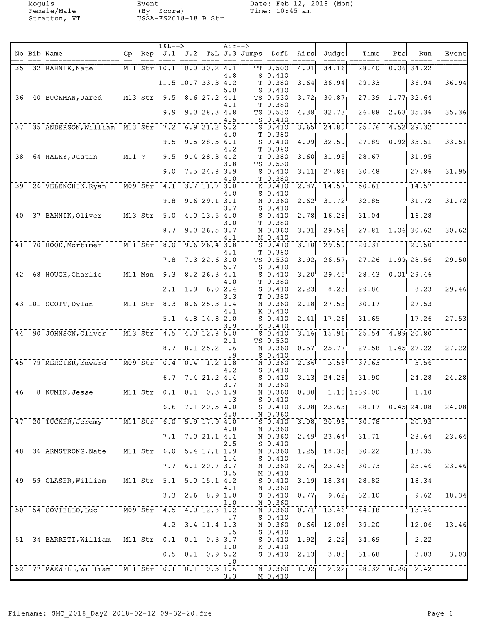|                 | No Bib Name                                                                                                                    | Gp                                                  |                                               | <b>T&amp;L--&gt;</b><br>Rep $J.1$ $J.2$                                                                |                                                                     |                                                    | $Air--$          | $T&L$ J.3 Jumps |                                                             | DofD Airs           | Judge                                                   | Time                                       | Pts  | Run                    | Event                       |
|-----------------|--------------------------------------------------------------------------------------------------------------------------------|-----------------------------------------------------|-----------------------------------------------|--------------------------------------------------------------------------------------------------------|---------------------------------------------------------------------|----------------------------------------------------|------------------|-----------------|-------------------------------------------------------------|---------------------|---------------------------------------------------------|--------------------------------------------|------|------------------------|-----------------------------|
| 35I             | 32 BAHNIK, Nate                                                                                                                |                                                     | $M11$ Str                                     |                                                                                                        | $10.1$ $10.0$ $30.2$                                                |                                                    | $== =$<br>4.1    |                 | TT 0.500                                                    | 4.01                | 34.16                                                   | 28.40                                      | 0.06 | 34.22                  | $=$ $=$ $=$ $=$ $=$ $=$ $=$ |
|                 |                                                                                                                                |                                                     |                                               |                                                                                                        | $11.5$ 10.7 33.3 4.2                                                |                                                    | 4.8<br>5.0       |                 | $S_0.410$<br>T 0.380<br>$S$ 0.410                           | 3.64                | 36.94                                                   | 29.33                                      |      | 36.94                  | 36.94                       |
|                 | $361$ $401$ BUCKMAN, Jared                                                                                                     |                                                     |                                               | $\overline{M13}$ $\overline{51}$ $\overline{17}$ $\overline{9.5}$                                      |                                                                     | $8.6$ 27.2 4.1                                     |                  |                 | TS 0.530                                                    | 3.72                | 30.87                                                   | 27.39                                      |      | $1.77$ 32.64           |                             |
|                 |                                                                                                                                |                                                     |                                               | 9.9                                                                                                    |                                                                     | 9.028.34.8                                         | 4.1              |                 | T 0.380<br>TS 0.530                                         | 4.38                | 32.73                                                   | 26.88                                      |      | 2.63'35.36             | 35.36                       |
|                 | 37 35 ANDERSON, William M13 Str 7.2                                                                                            |                                                     |                                               |                                                                                                        |                                                                     | $6.9$ 21.2 $5.2$                                   | 4.5              |                 | $S_0.410$<br>$S_0.410$                                      | $3.65$ <sup>T</sup> | 24.80                                                   | 25.76                                      |      | $4.52$ 29.32           |                             |
|                 |                                                                                                                                |                                                     |                                               | 9.5                                                                                                    |                                                                     | 9.528.56.1                                         | 4.0              |                 | T 0.380<br>$S_0.410$                                        | 4.09                | 32.59                                                   | 27.89                                      |      | $0.92$ 33.51           | 33.51                       |
| $\overline{38}$ | 64 HALKY, Justin                                                                                                               | $\overline{M11}$ ?                                  |                                               | 9.5                                                                                                    |                                                                     | $9.4 \ 28.3 \ 4.2$                                 | 4.2              |                 | T 0.380<br>T 0.380                                          | $\overline{3.60}$   | 31.95                                                   | 28.67                                      |      | 31.95                  |                             |
|                 |                                                                                                                                |                                                     |                                               | 9.0                                                                                                    |                                                                     | $7.5$ 24.8 3.9                                     | 3.8              |                 | TS 0.530<br>$S_0.410$                                       | 3.11                | 27.86                                                   | 30.48                                      |      | 27.86                  | 31.95                       |
| $\overline{39}$ | 26 VELENCHIK, Ryan                                                                                                             |                                                     | $\overline{MO9}$ $\overline{SET}$             | $\overline{4.1}$                                                                                       |                                                                     | $3.7$ $11.7$ $3.0$                                 | 4.0              |                 | T 0.380<br>K 0.410                                          | 2.87                | $\overline{1}\overline{4}\cdot\overline{5}\overline{7}$ | $\overline{50.61}$                         |      | 14.57                  |                             |
|                 |                                                                                                                                |                                                     |                                               | 9.8                                                                                                    |                                                                     | 9.629.13.1                                         | 4.0              |                 | $S_0.410$<br>N 0.360                                        | 2.62                | 31.72                                                   | 32.85                                      |      | 31.72                  | 31.72                       |
| 40              | 37 BAHNIK, Oliver                                                                                                              |                                                     | $\bar{m}$ 13 $\bar{s}$ tr $\bar{s}$           | $\bar{5.0}$                                                                                            |                                                                     | $4.0$ 13.5 $4.0$                                   | 3.7              |                 | $S_0.410$<br>$S_0.410$                                      | $\overline{2.78}$   | 16.28                                                   | 31.04                                      |      | 16.28                  |                             |
|                 |                                                                                                                                |                                                     |                                               | 8.7                                                                                                    |                                                                     | 9.026.53.7                                         | 3.0              |                 | T 0.380<br>N 0.360                                          | 3.01                | 29.56                                                   | 27.81                                      |      | $1.06$ 30.62           | 30.62                       |
| 41              | 70 HOOD, Mortimer                                                                                                              | $\overline{\texttt{Mil}}$ $\overline{\texttt{Str}}$ |                                               | $\bar{\mathbf{8}}$ , $\bar{\mathbf{0}}$                                                                |                                                                     | $9.626.4$ 3.8                                      | 4.1              |                 | M 0.410<br>$S = 0.410$                                      | 3.10                | 29.50                                                   | $\overline{29.31}$                         |      | 29.50                  |                             |
|                 |                                                                                                                                |                                                     |                                               | 7.8                                                                                                    |                                                                     | 7.322.63.0                                         | 4.1              |                 | T 0.380<br>TS 0.530                                         | 3.92                | 26.57                                                   | 27.26                                      |      | 1.99, 28.56            | 29.50                       |
| $\overline{42}$ | $68 - H\overline{O}$ UGH, $Charlie$                                                                                            | $\overline{\texttt{Mil}}$ $\overline{\texttt{Msn}}$ |                                               | 9.3                                                                                                    |                                                                     | $8.2$ $26.3$ $4.1$                                 | 5.7              |                 | $S$ 0.410<br>$S_0.410$                                      | 3.20                | 29.45                                                   | 28.43                                      |      | $0.01^{\dagger}$ 29.46 |                             |
|                 |                                                                                                                                |                                                     |                                               | 2.1                                                                                                    |                                                                     | $1.9$ 6.0 2.4                                      | 4.0              |                 | T 0.380<br>$S_0.410$                                        | 2.23                | 8.23                                                    | 29.86                                      |      | 8.23                   | 29.46                       |
|                 | 43 101 SCOTT, Dylan                                                                                                            |                                                     | $\overline{M11}$ $\overline{5}\overline{t}$ r | $\overline{8.3}$                                                                                       |                                                                     | $8.6$ 25.3 1.4                                     | 3.3              |                 | T 0.380<br>N 0.360                                          | 2.18                | 27.53                                                   | 30.17                                      |      | 27.53                  |                             |
|                 |                                                                                                                                |                                                     |                                               | 5.1                                                                                                    |                                                                     | $4.8$ 14.8 2.0                                     | 4.1<br>3.9       |                 | K 0.410<br>$S_0.410$<br>K 0.410                             | 2.41                | 17.26                                                   | 31.65                                      |      | 17.26                  | 27.53                       |
| 44 <sub>1</sub> | 90 JOHNSON, Oliver                                                                                                             |                                                     | $\overline{M13}$ $\overline{S}$ tr            | $\overline{4.5}$                                                                                       |                                                                     | $4.0$ 12.8 5.0                                     |                  |                 | $S_0.410$                                                   | 3.16                | 15.91                                                   | 25.54                                      |      | $4.89$ 20.80           |                             |
|                 |                                                                                                                                |                                                     |                                               | 8.7                                                                                                    |                                                                     | 8.125.2                                            | 2.1<br>.6<br>. 9 |                 | TS 0.530<br>N 0.360<br>$S_0.410$                            | 0.57                | 25.77                                                   | 27.58                                      |      | $1.45$ 27.22           | 27.22                       |
| $\overline{45}$ | 79 MERCIER, Edward                                                                                                             |                                                     |                                               | $\bar{1}$ MO9 $\bar{3}\bar{t}\bar{r}$ $\bar{t}$ $\bar{0}$ .4                                           | 0.4                                                                 | $-1.2$ $\overline{1.8}$                            |                  |                 | N 0.360                                                     | 2.36                | 3.56                                                    | 37.63                                      |      | 3.56                   |                             |
|                 |                                                                                                                                |                                                     |                                               | 6.7                                                                                                    |                                                                     | $7.4$ 21.2 4.4                                     | 4.2<br>3.7       |                 | $S_0.410$<br>$S_0.410$<br>N 0.360                           | 3.13                | 24.28                                                   | 31.90                                      |      | 24.28                  | 24.28                       |
| $\sqrt{46}$     | 8 KUMIN, Jesse                                                                                                                 |                                                     |                                               | $\text{M11 Str} \overline{\phantom{0}} 0.1$                                                            |                                                                     | $\overline{0.1}$ $\overline{0.3}$ $\overline{1.9}$ | $\cdot$ 3        |                 | N 0.360<br>$S_0.410$                                        | 0.80                |                                                         | $1.10$ $1.39.00$                           |      | $-1.10$                |                             |
|                 |                                                                                                                                |                                                     |                                               | 6.6                                                                                                    |                                                                     | $7.1$ 20.5 4.0                                     | 4.0              |                 | $S_0.410$<br>N 0.360                                        | 3.08                | 23.63                                                   | 28.17                                      |      | $0.45$   24.08         | 24.08                       |
|                 | 47 20 TUCKER, Jeremy M11 Str                                                                                                   |                                                     |                                               |                                                                                                        | $6.0$ 5.9 17.9 4.0                                                  |                                                    |                  |                 | $S \ 0.410$                                                 | 3.08                | 20.93                                                   | 30.78                                      |      | 20.93                  |                             |
|                 |                                                                                                                                |                                                     |                                               | 7.1                                                                                                    |                                                                     | $7.021.1$ 4.1                                      | 4.0<br>2.5       |                 | N 0.360<br>N 0.360<br>$S_0.410$                             | 2.49                | 23.64                                                   | 31.71                                      |      | 23.64                  | 23.64                       |
| 48              | 36 ARMSTRONG, Nate                                                                                                             |                                                     |                                               | $\overline{M11}$ $\overline{51r}$ $\overline{6.0}$ $\overline{5.4}$ $\overline{17.1}$ $\overline{1.9}$ |                                                                     |                                                    |                  |                 | N 0.360                                                     | $\overline{1.25}$   | $\overline{18.35}$                                      | $\overline{30.22}$                         |      | $\overline{18.35}$     |                             |
|                 |                                                                                                                                |                                                     |                                               | 7.7                                                                                                    |                                                                     | 6.1 20.7 3.7                                       | 1.4<br>3.5       |                 | $S_0.410$<br>N 0.360<br>M 0.410                             | 2.76                | 23.46                                                   | 30.73                                      |      | 23.46                  | 23.46                       |
|                 | 49 59 GLASER, William M11 Str 5.1 5.0 15.1 4.2                                                                                 |                                                     |                                               |                                                                                                        |                                                                     |                                                    | 4.1              |                 | $S_0.410$<br>N 0.360                                        | $\overline{3.19}$   | $\overline{18.34}$                                      | $\bar{28.82}$                              |      | 18.34                  |                             |
|                 |                                                                                                                                |                                                     |                                               |                                                                                                        | $3.3$ 2.6 $8.91.0$                                                  |                                                    | 1.0              |                 | $S_0.410$<br>N 0.360                                        | 0.77                | 9.62                                                    | 32.10                                      |      | 9.62                   | 18.34                       |
|                 | $50^\circ$ $-54$ $\bar{c}$ $\bar{c}$ $\bar{v}$ $\bar{v}$ $\bar{v}$ $\bar{v}$ $\bar{v}$ $\bar{v}$ $\bar{v}$ $\bar{v}$ $\bar{v}$ |                                                     |                                               | $^{-1}$ MO9 Str $^{-1}$ 4.5 4.0 12.8 1.2                                                               |                                                                     |                                                    |                  |                 | $\bar{N}$ $\bar{0}$ $\bar{0}$ $\bar{3}$ $\bar{6}$ $\bar{0}$ | $0.71$ <sup>T</sup> | 13.46                                                   | $\overline{44.18}$                         |      | $\overline{13.46}$     |                             |
|                 |                                                                                                                                |                                                     |                                               | 4.2                                                                                                    |                                                                     | $3.4$ 11.4 1.3                                     | .7               |                 | $S_0.410$<br>N 0.360<br>$S_0.410$                           | 0.66                | 12.06                                                   | 39.20                                      |      | 12.06                  | 13.46                       |
| $\overline{51}$ | 34 BARRETT, William                                                                                                            | $^{-1}$ MII Str $^{-1}$                             |                                               |                                                                                                        | $\overline{0.1}$ $\overline{0.1}$ $\overline{0.3}$ $\overline{3.7}$ |                                                    | 1.0              |                 | $S_0.410$<br>K 0.410                                        | 1.92                | $\overline{2.22}$                                       | 34.69                                      |      | 2.22                   |                             |
|                 |                                                                                                                                |                                                     |                                               | 0.5                                                                                                    |                                                                     | $0.1 \quad 0.9 \, 5.2$                             |                  |                 | $S_0.410$                                                   | 2.13                | 3.03                                                    | 31.68                                      |      | 3.03                   | 3.03                        |
|                 | $52^-77$ MAXWELL, William M11 $5t$ r 0.1 0.1 0.3 1.6                                                                           |                                                     |                                               |                                                                                                        |                                                                     |                                                    | . 0<br>3.3       |                 | N 0.360<br>M 0.410                                          | 1.92 <sub>1</sub>   | $\overline{2.22}$                                       | $\sqrt{28.32}$ $\sqrt{0.20}$ $\sqrt{2.42}$ |      |                        |                             |